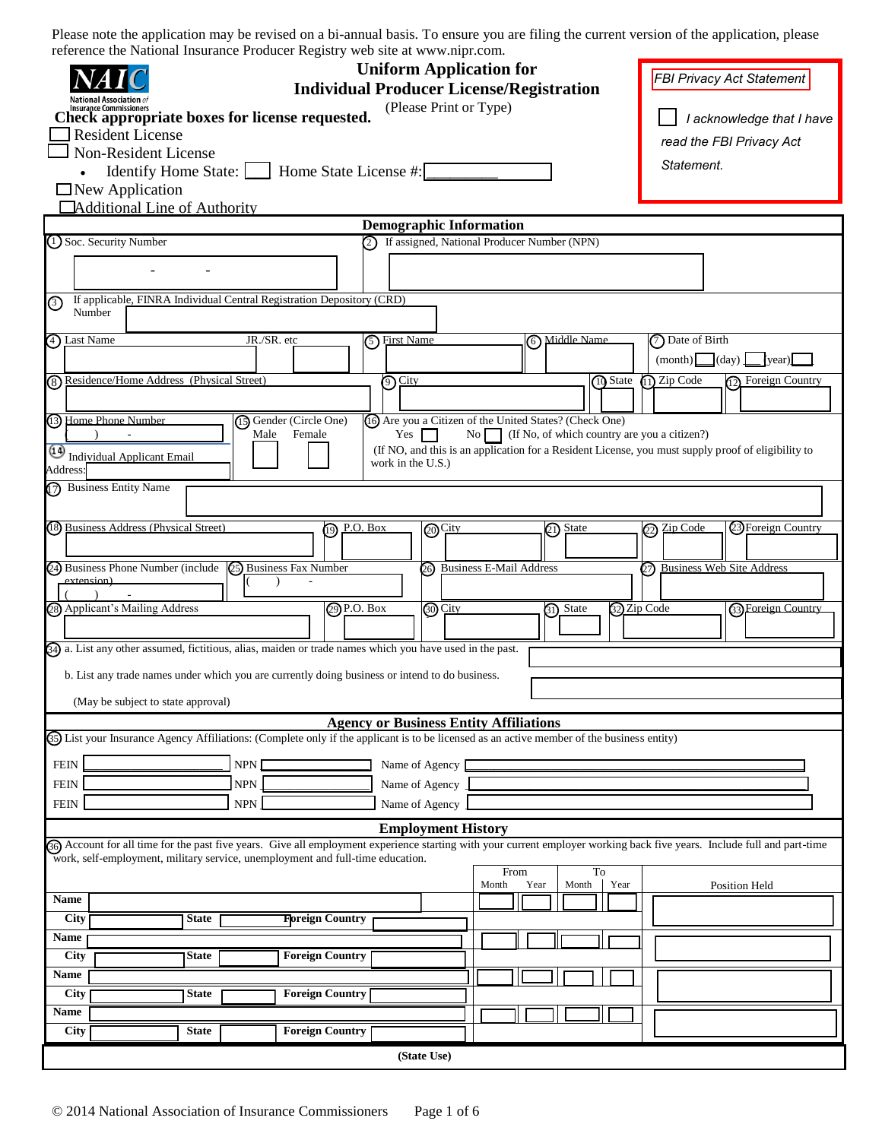| <b>Uniform Application for</b><br><b>Individual Producer License/Registration</b>                                                                                       | FBI Privacy Act Statement                                                                                                                             |                                                        |                                      |                    |  |  |  |  |  |
|-------------------------------------------------------------------------------------------------------------------------------------------------------------------------|-------------------------------------------------------------------------------------------------------------------------------------------------------|--------------------------------------------------------|--------------------------------------|--------------------|--|--|--|--|--|
| <b>Insurance Commissioners</b>                                                                                                                                          |                                                                                                                                                       |                                                        |                                      |                    |  |  |  |  |  |
| Check appropriate boxes for license requested.<br><b>Resident License</b>                                                                                               | I acknowledge that I have                                                                                                                             |                                                        |                                      |                    |  |  |  |  |  |
| <b>Non-Resident License</b>                                                                                                                                             |                                                                                                                                                       |                                                        | read the FBI Privacy Act             |                    |  |  |  |  |  |
| Identify Home State:       Home State License #:                                                                                                                        |                                                                                                                                                       |                                                        | Statement.                           |                    |  |  |  |  |  |
| $\Box$ New Application                                                                                                                                                  |                                                                                                                                                       |                                                        |                                      |                    |  |  |  |  |  |
| <b>Additional Line of Authority</b>                                                                                                                                     |                                                                                                                                                       |                                                        |                                      |                    |  |  |  |  |  |
|                                                                                                                                                                         | <b>Demographic Information</b>                                                                                                                        |                                                        |                                      |                    |  |  |  |  |  |
| (1) Soc. Security Number                                                                                                                                                | 2) If assigned, National Producer Number (NPN)                                                                                                        |                                                        |                                      |                    |  |  |  |  |  |
|                                                                                                                                                                         |                                                                                                                                                       |                                                        |                                      |                    |  |  |  |  |  |
| If applicable, FINRA Individual Central Registration Depository (CRD)<br>⊚<br>Number                                                                                    |                                                                                                                                                       |                                                        |                                      |                    |  |  |  |  |  |
| JR./SR. etc<br>4) Last Name                                                                                                                                             | 5 First Name                                                                                                                                          | 6 Middle Name                                          | (7) Date of Birth                    |                    |  |  |  |  |  |
|                                                                                                                                                                         |                                                                                                                                                       |                                                        | (month)<br>$\lfloor$ (day) $\lfloor$ | (year)             |  |  |  |  |  |
| (8) Residence/Home Address (Physical Street)                                                                                                                            | <b>①</b> City                                                                                                                                         | 10 State                                               | $(1)$ Zip Code                       | 12 Foreign Country |  |  |  |  |  |
|                                                                                                                                                                         |                                                                                                                                                       |                                                        |                                      |                    |  |  |  |  |  |
| (3) Home Phone Number<br>(15) Gender (Circle One)                                                                                                                       | (16) Are you a Citizen of the United States? (Check One)                                                                                              |                                                        |                                      |                    |  |  |  |  |  |
| Female<br>Male                                                                                                                                                          | Yes                                                                                                                                                   | No $\Box$ (If No, of which country are you a citizen?) |                                      |                    |  |  |  |  |  |
| Address:                                                                                                                                                                | Individual Applicant Email<br>(If NO, and this is an application for a Resident License, you must supply proof of eligibility to<br>work in the U.S.) |                                                        |                                      |                    |  |  |  |  |  |
| 7) Business Entity Name                                                                                                                                                 |                                                                                                                                                       |                                                        |                                      |                    |  |  |  |  |  |
| (18) Business Address (Physical Street)<br>ဨ                                                                                                                            | <u>P.O. Box</u><br>@City                                                                                                                              | (21) State                                             | Zip Code<br>℗                        | 23 Foreign Country |  |  |  |  |  |
|                                                                                                                                                                         |                                                                                                                                                       |                                                        |                                      |                    |  |  |  |  |  |
| 24) Business Phone Number (include 25) Business Fax Number                                                                                                              | 26 Business E-Mail Address                                                                                                                            |                                                        | 27) Business Web Site Address        |                    |  |  |  |  |  |
| extension)                                                                                                                                                              |                                                                                                                                                       |                                                        |                                      |                    |  |  |  |  |  |
| 28) Applicant's Mailing Address<br>29 P.O. Box                                                                                                                          | <b>@O</b> City                                                                                                                                        | 31) State                                              | 32 Zip Code                          | 33 Foreign Country |  |  |  |  |  |
|                                                                                                                                                                         |                                                                                                                                                       |                                                        |                                      |                    |  |  |  |  |  |
| 34) a. List any other assumed, fictitious, alias, maiden or trade names which you have used in the past.                                                                |                                                                                                                                                       |                                                        |                                      |                    |  |  |  |  |  |
|                                                                                                                                                                         |                                                                                                                                                       |                                                        |                                      |                    |  |  |  |  |  |
| b. List any trade names under which you are currently doing business or intend to do business.                                                                          |                                                                                                                                                       |                                                        |                                      |                    |  |  |  |  |  |
| (May be subject to state approval)                                                                                                                                      |                                                                                                                                                       |                                                        |                                      |                    |  |  |  |  |  |
|                                                                                                                                                                         | <b>Agency or Business Entity Affiliations</b>                                                                                                         |                                                        |                                      |                    |  |  |  |  |  |
| (55) List your Insurance Agency Affiliations: (Complete only if the applicant is to be licensed as an active member of the business entity)                             |                                                                                                                                                       |                                                        |                                      |                    |  |  |  |  |  |
| <b>FEIN</b><br>NPN                                                                                                                                                      | Name of Agency                                                                                                                                        |                                                        |                                      |                    |  |  |  |  |  |
| <b>NPN</b><br><b>FEIN</b>                                                                                                                                               | Name of Agency                                                                                                                                        |                                                        |                                      |                    |  |  |  |  |  |
| <b>FEIN</b><br><b>NPN</b>                                                                                                                                               | Name of Agency                                                                                                                                        |                                                        |                                      |                    |  |  |  |  |  |
|                                                                                                                                                                         |                                                                                                                                                       |                                                        |                                      |                    |  |  |  |  |  |
| Bo Account for all time for the past five years. Give all employment experience starting with your current employer working back five years. Include full and part-time | <b>Employment History</b>                                                                                                                             |                                                        |                                      |                    |  |  |  |  |  |
| work, self-employment, military service, unemployment and full-time education.                                                                                          |                                                                                                                                                       |                                                        |                                      |                    |  |  |  |  |  |
|                                                                                                                                                                         | From<br>Month<br>Year                                                                                                                                 | To<br>Year<br>Month                                    |                                      |                    |  |  |  |  |  |
| Name                                                                                                                                                                    |                                                                                                                                                       |                                                        |                                      | Position Held      |  |  |  |  |  |
| City<br><b>Floreign Country</b><br><b>State</b>                                                                                                                         |                                                                                                                                                       |                                                        |                                      |                    |  |  |  |  |  |
| Name                                                                                                                                                                    |                                                                                                                                                       |                                                        |                                      |                    |  |  |  |  |  |
| City<br><b>Foreign Country</b><br><b>State</b>                                                                                                                          |                                                                                                                                                       |                                                        |                                      |                    |  |  |  |  |  |
| Name                                                                                                                                                                    |                                                                                                                                                       |                                                        |                                      |                    |  |  |  |  |  |
| City<br><b>Foreign Country</b><br><b>State</b>                                                                                                                          |                                                                                                                                                       |                                                        |                                      |                    |  |  |  |  |  |
| Name                                                                                                                                                                    |                                                                                                                                                       |                                                        |                                      |                    |  |  |  |  |  |
| City<br><b>Foreign Country</b><br><b>State</b>                                                                                                                          |                                                                                                                                                       |                                                        |                                      |                    |  |  |  |  |  |
|                                                                                                                                                                         | (State Use)                                                                                                                                           |                                                        |                                      |                    |  |  |  |  |  |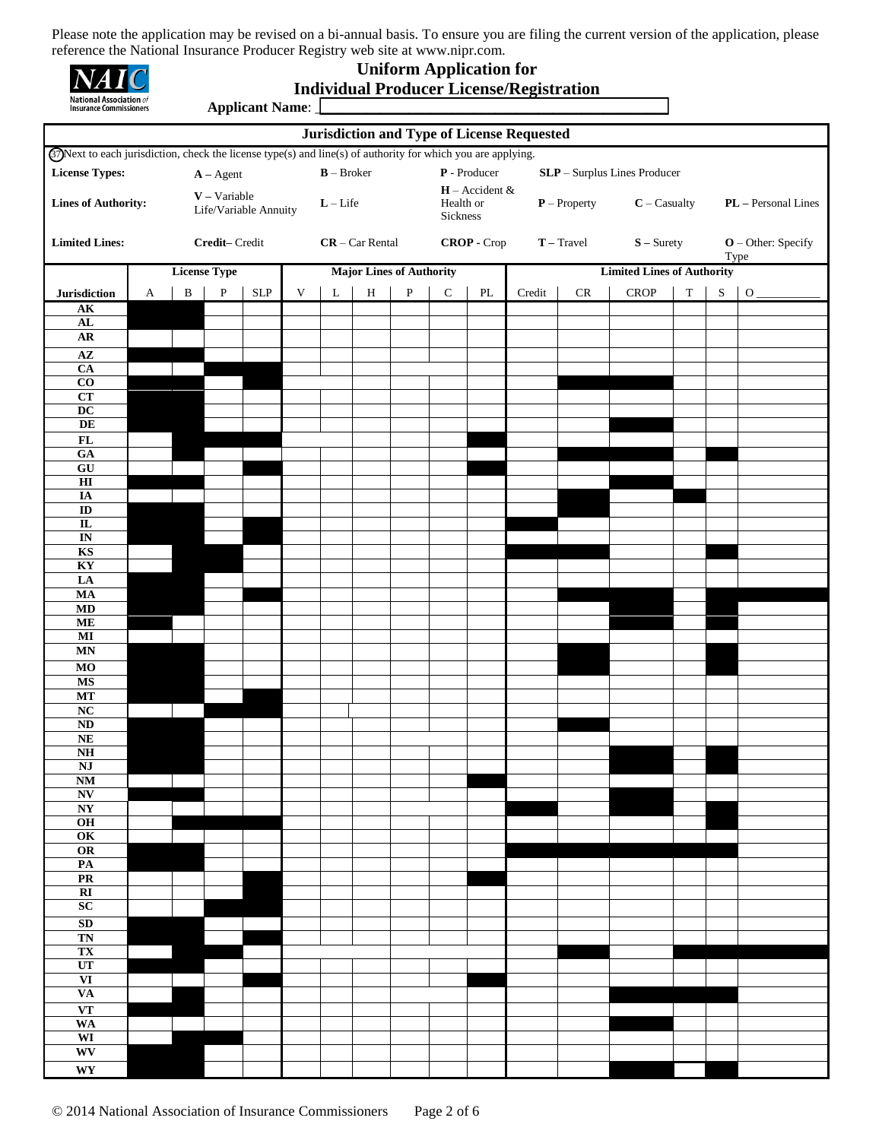| <b>National Association</b> of<br><b>Insurance Commissioners</b> |  |
|------------------------------------------------------------------|--|

**Applicant Name:** 

## **Uniform Application for Individual Producer License/Registration**

| <b>Jurisdiction and Type of License Requested</b>                                                                    |                                    |                                         |                     |                             |                                                             |   |                                           |                                 |                                          |                                   |                              |               |                                |             |           |             |
|----------------------------------------------------------------------------------------------------------------------|------------------------------------|-----------------------------------------|---------------------|-----------------------------|-------------------------------------------------------------|---|-------------------------------------------|---------------------------------|------------------------------------------|-----------------------------------|------------------------------|---------------|--------------------------------|-------------|-----------|-------------|
| <b>G</b> ) Next to each jurisdiction, check the license type(s) and line(s) of authority for which you are applying. |                                    |                                         |                     |                             |                                                             |   |                                           |                                 |                                          |                                   |                              |               |                                |             |           |             |
| <b>License Types:</b>                                                                                                |                                    | $\mathbf{B}-\rm{Broker}$<br>$A - Agent$ |                     |                             |                                                             |   | $\mathbf P$ - Producer                    |                                 |                                          |                                   | SLP - Surplus Lines Producer |               |                                |             |           |             |
| $V - Variable$<br><b>Lines of Authority:</b><br>Life/Variable Annuity                                                |                                    | $\mathbf{L}-\mathbf{Life}$              |                     |                             |                                                             |   | $H -$ Accident &<br>Health or<br>Sickness |                                 | $P$ – Property<br>$\mathbf{C}-C$ asualty |                                   | PL - Personal Lines          |               |                                |             |           |             |
| <b>Limited Lines:</b>                                                                                                | Credit-Credit<br>$CR - Car Rental$ |                                         |                     |                             | CROP - Crop<br>$\mathbf{T}-\mathrm{Travel}$<br>$S -$ Surety |   |                                           |                                 | $O$ – Other: Specify<br>Type             |                                   |                              |               |                                |             |           |             |
|                                                                                                                      |                                    |                                         | <b>License Type</b> |                             |                                                             |   |                                           | <b>Major Lines of Authority</b> |                                          | <b>Limited Lines of Authority</b> |                              |               |                                |             |           |             |
| Jurisdiction                                                                                                         | A                                  | $\, {\bf B}$                            | $\, {\bf P}$        | $\ensuremath{\mathrm{SLP}}$ | $\ensuremath{\mathsf{V}}$                                   | L | $\, {\rm H}$                              | ${\bf P}$                       | ${\bf C}$                                | $\mathbf{PL}$                     | $\bf Credit$                 | $\mathsf{CR}$ | ${\bf C}{\bf R}{\bf O}{\bf P}$ | $\mathbf T$ | ${\bf S}$ | $\mathbf O$ |
| AK                                                                                                                   |                                    |                                         |                     |                             |                                                             |   |                                           |                                 |                                          |                                   |                              |               |                                |             |           |             |
| ${\bf AL}$                                                                                                           |                                    |                                         |                     |                             |                                                             |   |                                           |                                 |                                          |                                   |                              |               |                                |             |           |             |
| AR                                                                                                                   |                                    |                                         |                     |                             |                                                             |   |                                           |                                 |                                          |                                   |                              |               |                                |             |           |             |
| $\overline{AZ}$<br>$\overline{CA}$                                                                                   |                                    |                                         |                     |                             |                                                             |   |                                           |                                 |                                          |                                   |                              |               |                                |             |           |             |
| $\bf CO$                                                                                                             |                                    |                                         |                     |                             |                                                             |   |                                           |                                 |                                          |                                   |                              |               |                                |             |           |             |
| CT<br>$\mathbf{D}\mathbf{C}$                                                                                         |                                    |                                         |                     |                             |                                                             |   |                                           |                                 |                                          |                                   |                              |               |                                |             |           |             |
| DE                                                                                                                   |                                    |                                         |                     |                             |                                                             |   |                                           |                                 |                                          |                                   |                              |               |                                |             |           |             |
| $\mathbf{FL}$                                                                                                        |                                    |                                         |                     |                             |                                                             |   |                                           |                                 |                                          |                                   |                              |               |                                |             |           |             |
| GA                                                                                                                   |                                    |                                         |                     |                             |                                                             |   |                                           |                                 |                                          |                                   |                              |               |                                |             |           |             |
| $\overline{GU}$<br>H                                                                                                 |                                    |                                         |                     |                             |                                                             |   |                                           |                                 |                                          |                                   |                              |               |                                |             |           |             |
| IA                                                                                                                   |                                    |                                         |                     |                             |                                                             |   |                                           |                                 |                                          |                                   |                              |               |                                |             |           |             |
| $\overline{ID}$<br>$\overline{\mathbf{L}}$                                                                           |                                    |                                         |                     |                             |                                                             |   |                                           |                                 |                                          |                                   |                              |               |                                |             |           |             |
| $\overline{\mathbf{N}}$                                                                                              |                                    |                                         |                     |                             |                                                             |   |                                           |                                 |                                          |                                   |                              |               |                                |             |           |             |
| KS                                                                                                                   |                                    |                                         |                     |                             |                                                             |   |                                           |                                 |                                          |                                   |                              |               |                                |             |           |             |
| KY<br>LA                                                                                                             |                                    |                                         |                     |                             |                                                             |   |                                           |                                 |                                          |                                   |                              |               |                                |             |           |             |
| MA                                                                                                                   |                                    |                                         |                     |                             |                                                             |   |                                           |                                 |                                          |                                   |                              |               |                                |             |           |             |
| MD                                                                                                                   |                                    |                                         |                     |                             |                                                             |   |                                           |                                 |                                          |                                   |                              |               |                                |             |           |             |
| ME<br>$\bf MI$                                                                                                       |                                    |                                         |                     |                             |                                                             |   |                                           |                                 |                                          |                                   |                              |               |                                |             |           |             |
| <b>MN</b>                                                                                                            |                                    |                                         |                     |                             |                                                             |   |                                           |                                 |                                          |                                   |                              |               |                                |             |           |             |
| MO                                                                                                                   |                                    |                                         |                     |                             |                                                             |   |                                           |                                 |                                          |                                   |                              |               |                                |             |           |             |
| <b>MS</b>                                                                                                            |                                    |                                         |                     |                             |                                                             |   |                                           |                                 |                                          |                                   |                              |               |                                |             |           |             |
| MT<br>$\overline{\text{NC}}$                                                                                         |                                    |                                         |                     |                             |                                                             |   |                                           |                                 |                                          |                                   |                              |               |                                |             |           |             |
| $\mathbf{N}\mathbf{D}$                                                                                               |                                    |                                         |                     |                             |                                                             |   |                                           |                                 |                                          |                                   |                              |               |                                |             |           |             |
| NE                                                                                                                   |                                    |                                         |                     |                             |                                                             |   |                                           |                                 |                                          |                                   |                              |               |                                |             |           |             |
| N <sub>H</sub><br><b>NJ</b>                                                                                          |                                    |                                         |                     |                             |                                                             |   |                                           |                                 |                                          |                                   |                              |               |                                |             |           |             |
| <b>NM</b>                                                                                                            |                                    |                                         |                     |                             |                                                             |   |                                           |                                 |                                          |                                   |                              |               |                                |             |           |             |
| $\overline{\textbf{N}\textbf{V}}$                                                                                    |                                    |                                         |                     |                             |                                                             |   |                                           |                                 |                                          |                                   |                              |               |                                |             |           |             |
| NY<br>O <sub>H</sub>                                                                                                 |                                    |                                         |                     |                             |                                                             |   |                                           |                                 |                                          |                                   |                              |               |                                |             |           |             |
| OK                                                                                                                   |                                    |                                         |                     |                             |                                                             |   |                                           |                                 |                                          |                                   |                              |               |                                |             |           |             |
| OR                                                                                                                   |                                    |                                         |                     |                             |                                                             |   |                                           |                                 |                                          |                                   |                              |               |                                |             |           |             |
| PA<br>PR                                                                                                             |                                    |                                         |                     |                             |                                                             |   |                                           |                                 |                                          |                                   |                              |               |                                |             |           |             |
| $\overline{\mathbf{R}}$                                                                                              |                                    |                                         |                     |                             |                                                             |   |                                           |                                 |                                          |                                   |                              |               |                                |             |           |             |
| SC                                                                                                                   |                                    |                                         |                     |                             |                                                             |   |                                           |                                 |                                          |                                   |                              |               |                                |             |           |             |
| SD<br><b>TN</b>                                                                                                      |                                    |                                         |                     |                             |                                                             |   |                                           |                                 |                                          |                                   |                              |               |                                |             |           |             |
| TX                                                                                                                   |                                    |                                         |                     |                             |                                                             |   |                                           |                                 |                                          |                                   |                              |               |                                |             |           |             |
| UT                                                                                                                   |                                    |                                         |                     |                             |                                                             |   |                                           |                                 |                                          |                                   |                              |               |                                |             |           |             |
| $\overline{\mathbf{VI}}$<br><b>VA</b>                                                                                |                                    |                                         |                     |                             |                                                             |   |                                           |                                 |                                          |                                   |                              |               |                                |             |           |             |
| <b>VT</b>                                                                                                            |                                    |                                         |                     |                             |                                                             |   |                                           |                                 |                                          |                                   |                              |               |                                |             |           |             |
| <b>WA</b>                                                                                                            |                                    |                                         |                     |                             |                                                             |   |                                           |                                 |                                          |                                   |                              |               |                                |             |           |             |
| WI<br>WV                                                                                                             |                                    |                                         |                     |                             |                                                             |   |                                           |                                 |                                          |                                   |                              |               |                                |             |           |             |
| $\mathbf{W}\mathbf{Y}$                                                                                               |                                    |                                         |                     |                             |                                                             |   |                                           |                                 |                                          |                                   |                              |               |                                |             |           |             |
|                                                                                                                      |                                    |                                         |                     |                             |                                                             |   |                                           |                                 |                                          |                                   |                              |               |                                |             |           |             |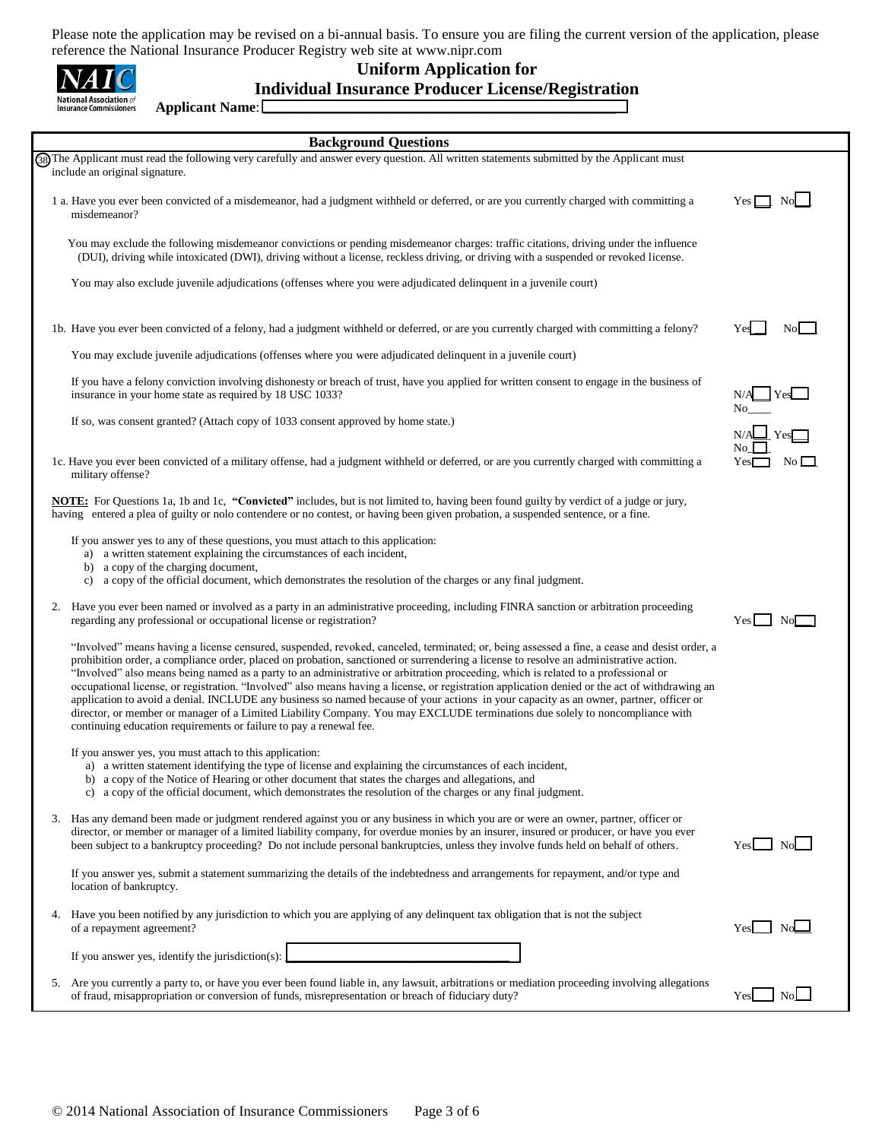| <b>National Association</b> of<br>Insurance Commissioners |
|-----------------------------------------------------------|

**Applicant Name**: \_\_\_\_\_\_\_\_\_\_\_\_\_\_\_\_\_\_\_\_\_\_\_\_\_\_\_\_\_\_\_\_\_\_\_\_\_\_\_\_\_\_\_\_\_\_\_\_\_

## **Uniform Application for Individual Insurance Producer License/Registration**

|    | <b>Background Questions</b>                                                                                                                                                                                                                                                                                                                                                                                                                                                                                                                                                                                                                                                                                                                                                                                                                                                                                                   |                          |
|----|-------------------------------------------------------------------------------------------------------------------------------------------------------------------------------------------------------------------------------------------------------------------------------------------------------------------------------------------------------------------------------------------------------------------------------------------------------------------------------------------------------------------------------------------------------------------------------------------------------------------------------------------------------------------------------------------------------------------------------------------------------------------------------------------------------------------------------------------------------------------------------------------------------------------------------|--------------------------|
|    | 38) The Applicant must read the following very carefully and answer every question. All written statements submitted by the Applicant must<br>include an original signature.                                                                                                                                                                                                                                                                                                                                                                                                                                                                                                                                                                                                                                                                                                                                                  |                          |
|    | 1 a. Have you ever been convicted of a misdemeanor, had a judgment withheld or deferred, or are you currently charged with committing a<br>misdemeanor?                                                                                                                                                                                                                                                                                                                                                                                                                                                                                                                                                                                                                                                                                                                                                                       | No<br>Yes                |
|    | You may exclude the following misdemeanor convictions or pending misdemeanor charges: traffic citations, driving under the influence<br>(DUI), driving while intoxicated (DWI), driving without a license, reckless driving, or driving with a suspended or revoked license.                                                                                                                                                                                                                                                                                                                                                                                                                                                                                                                                                                                                                                                  |                          |
|    | You may also exclude juvenile adjudications (offenses where you were adjudicated delinquent in a juvenile court)                                                                                                                                                                                                                                                                                                                                                                                                                                                                                                                                                                                                                                                                                                                                                                                                              |                          |
|    | 1b. Have you ever been convicted of a felony, had a judgment withheld or deferred, or are you currently charged with committing a felony?                                                                                                                                                                                                                                                                                                                                                                                                                                                                                                                                                                                                                                                                                                                                                                                     | No.<br>Yes               |
|    | You may exclude juvenile adjudications (offenses where you were adjudicated delinquent in a juvenile court)                                                                                                                                                                                                                                                                                                                                                                                                                                                                                                                                                                                                                                                                                                                                                                                                                   |                          |
|    | If you have a felony conviction involving dishonesty or breach of trust, have you applied for written consent to engage in the business of<br>insurance in your home state as required by 18 USC 1033?                                                                                                                                                                                                                                                                                                                                                                                                                                                                                                                                                                                                                                                                                                                        | Yes                      |
|    | If so, was consent granted? (Attach copy of 1033 consent approved by home state.)                                                                                                                                                                                                                                                                                                                                                                                                                                                                                                                                                                                                                                                                                                                                                                                                                                             | $\perp$ Yes              |
|    | 1c. Have you ever been convicted of a military offense, had a judgment withheld or deferred, or are you currently charged with committing a<br>military offense?                                                                                                                                                                                                                                                                                                                                                                                                                                                                                                                                                                                                                                                                                                                                                              | $\rm No$ $\Box$<br>Yes   |
|    | <b>NOTE:</b> For Questions 1a, 1b and 1c, "Convicted" includes, but is not limited to, having been found guilty by verdict of a judge or jury,<br>having entered a plea of guilty or nolo contendere or no contest, or having been given probation, a suspended sentence, or a fine.                                                                                                                                                                                                                                                                                                                                                                                                                                                                                                                                                                                                                                          |                          |
|    | If you answer yes to any of these questions, you must attach to this application:<br>a) a written statement explaining the circumstances of each incident,<br>a copy of the charging document,<br>b)<br>c) a copy of the official document, which demonstrates the resolution of the charges or any final judgment.                                                                                                                                                                                                                                                                                                                                                                                                                                                                                                                                                                                                           |                          |
| 2. | Have you ever been named or involved as a party in an administrative proceeding, including FINRA sanction or arbitration proceeding<br>regarding any professional or occupational license or registration?                                                                                                                                                                                                                                                                                                                                                                                                                                                                                                                                                                                                                                                                                                                    | Yes   No                 |
|    | "Involved" means having a license censured, suspended, revoked, canceled, terminated; or, being assessed a fine, a cease and desist order, a<br>prohibition order, a compliance order, placed on probation, sanctioned or surrendering a license to resolve an administrative action.<br>"Involved" also means being named as a party to an administrative or arbitration proceeding, which is related to a professional or<br>occupational license, or registration. "Involved" also means having a license, or registration application denied or the act of withdrawing an<br>application to avoid a denial. INCLUDE any business so named because of your actions in your capacity as an owner, partner, officer or<br>director, or member or manager of a Limited Liability Company. You may EXCLUDE terminations due solely to noncompliance with<br>continuing education requirements or failure to pay a renewal fee. |                          |
|    | If you answer yes, you must attach to this application:<br>a) a written statement identifying the type of license and explaining the circumstances of each incident,<br>b) a copy of the Notice of Hearing or other document that states the charges and allegations, and<br>c) a copy of the official document, which demonstrates the resolution of the charges or any final judgment.                                                                                                                                                                                                                                                                                                                                                                                                                                                                                                                                      |                          |
|    | 3. Has any demand been made or judgment rendered against you or any business in which you are or were an owner, partner, officer or<br>director, or member or manager of a limited liability company, for overdue monies by an insurer, insured or producer, or have you ever<br>been subject to a bankruptcy proceeding? Do not include personal bankruptcies, unless they involve funds held on behalf of others.                                                                                                                                                                                                                                                                                                                                                                                                                                                                                                           | No<br>Yesl               |
|    | If you answer yes, submit a statement summarizing the details of the indebtedness and arrangements for repayment, and/or type and<br>location of bankruptcy.                                                                                                                                                                                                                                                                                                                                                                                                                                                                                                                                                                                                                                                                                                                                                                  |                          |
|    | 4. Have you been notified by any jurisdiction to which you are applying of any delinquent tax obligation that is not the subject<br>of a repayment agreement?                                                                                                                                                                                                                                                                                                                                                                                                                                                                                                                                                                                                                                                                                                                                                                 | $Yes \Box No \Box$       |
|    | If you answer yes, identify the jurisdiction(s):                                                                                                                                                                                                                                                                                                                                                                                                                                                                                                                                                                                                                                                                                                                                                                                                                                                                              |                          |
|    | 5. Are you currently a party to, or have you ever been found liable in, any lawsuit, arbitrations or mediation proceeding involving allegations<br>of fraud, misappropriation or conversion of funds, misrepresentation or breach of fiduciary duty?                                                                                                                                                                                                                                                                                                                                                                                                                                                                                                                                                                                                                                                                          | NoL <sub>1</sub><br>Yesl |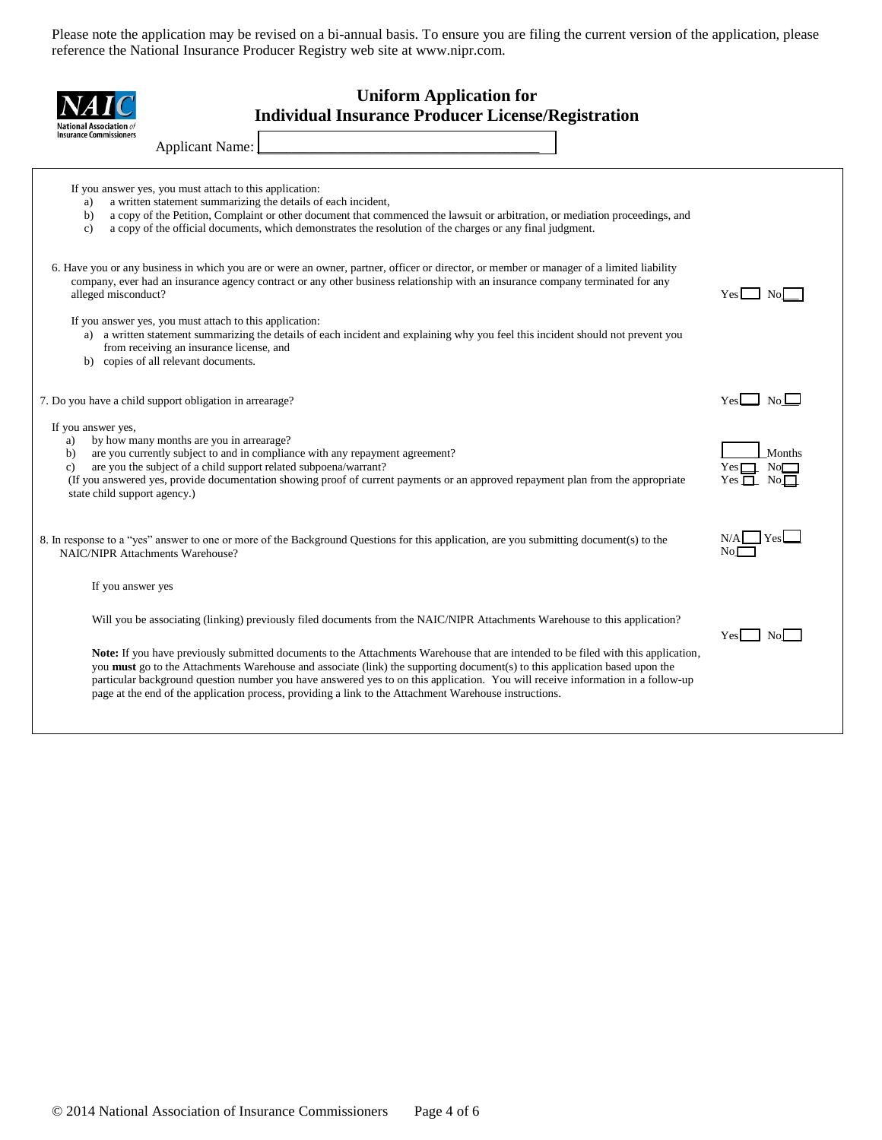| <b>Uniform Application for</b><br><b>Individual Insurance Producer License/Registration</b><br><b>National Association</b> of<br><b>Insurance Commissioners</b>                                                                                                                                                                                                                                                    |                              |
|--------------------------------------------------------------------------------------------------------------------------------------------------------------------------------------------------------------------------------------------------------------------------------------------------------------------------------------------------------------------------------------------------------------------|------------------------------|
| <b>Applicant Name:</b>                                                                                                                                                                                                                                                                                                                                                                                             |                              |
| If you answer yes, you must attach to this application:<br>a written statement summarizing the details of each incident,<br>a)<br>a copy of the Petition, Complaint or other document that commenced the lawsuit or arbitration, or mediation proceedings, and<br>b)<br>a copy of the official documents, which demonstrates the resolution of the charges or any final judgment.<br>$\mathbf{c}$                  |                              |
| 6. Have you or any business in which you are or were an owner, partner, officer or director, or member or manager of a limited liability<br>company, ever had an insurance agency contract or any other business relationship with an insurance company terminated for any<br>alleged misconduct?                                                                                                                  | Yesl<br>No.                  |
| If you answer yes, you must attach to this application:<br>a) a written statement summarizing the details of each incident and explaining why you feel this incident should not prevent you<br>from receiving an insurance license, and<br>b) copies of all relevant documents.                                                                                                                                    |                              |
| 7. Do you have a child support obligation in arrearage?                                                                                                                                                                                                                                                                                                                                                            | $\Box$ No $\Box$<br>Yesl     |
| If you answer yes,<br>by how many months are you in arrearage?<br>a)<br>are you currently subject to and in compliance with any repayment agreement?<br>b)<br>are you the subject of a child support related subpoena/warrant?<br>$\mathbf{c}$<br>(If you answered yes, provide documentation showing proof of current payments or an approved repayment plan from the appropriate<br>state child support agency.) | Months<br>No<br>$Yes$ $\Box$ |
| 8. In response to a "yes" answer to one or more of the Background Questions for this application, are you submitting document(s) to the<br><b>NAIC/NIPR Attachments Warehouse?</b>                                                                                                                                                                                                                                 | Yes<br>No.                   |
| If you answer yes                                                                                                                                                                                                                                                                                                                                                                                                  |                              |
| Will you be associating (linking) previously filed documents from the NAIC/NIPR Attachments Warehouse to this application?<br>Note: If you have previously submitted documents to the Attachments Warehouse that are intended to be filed with this application,<br>you <b>must</b> go to the Attachments Warehouse and associate (link) the supporting document(s) to this application based upon the             | Nol<br>Yes                   |
| particular background question number you have answered yes to on this application. You will receive information in a follow-up<br>page at the end of the application process, providing a link to the Attachment Warehouse instructions.                                                                                                                                                                          |                              |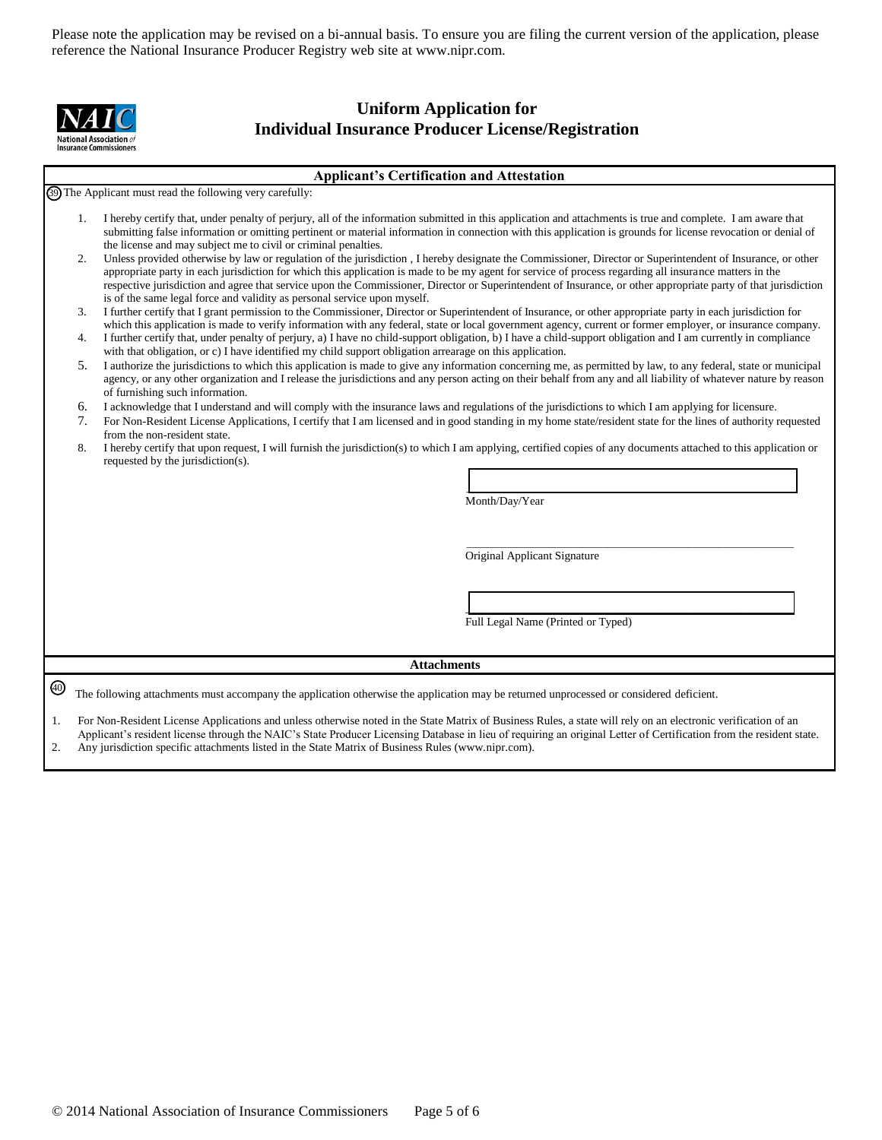

## **Uniform Application for Individual Insurance Producer License/Registration**

**Applicant's Certification and Attestation**

The Applicant must read the following very carefully: 39

- 1. I hereby certify that, under penalty of perjury, all of the information submitted in this application and attachments is true and complete. I am aware that submitting false information or omitting pertinent or material information in connection with this application is grounds for license revocation or denial of the license and may subject me to civil or criminal penalties.
- 2. Unless provided otherwise by law or regulation of the jurisdiction , I hereby designate the Commissioner, Director or Superintendent of Insurance, or other appropriate party in each jurisdiction for which this application is made to be my agent for service of process regarding all insurance matters in the respective jurisdiction and agree that service upon the Commissioner, Director or Superintendent of Insurance, or other appropriate party of that jurisdiction is of the same legal force and validity as personal service upon myself.
- 3. I further certify that I grant permission to the Commissioner, Director or Superintendent of Insurance, or other appropriate party in each jurisdiction for which this application is made to verify information with any federal, state or local government agency, current or former employer, or insurance company.
- 4. I further certify that, under penalty of perjury, a) I have no child-support obligation, b) I have a child-support obligation and I am currently in compliance with that obligation, or c) I have identified my child support obligation arrearage on this application.
- 5. I authorize the jurisdictions to which this application is made to give any information concerning me, as permitted by law, to any federal, state or municipal agency, or any other organization and I release the jurisdictions and any person acting on their behalf from any and all liability of whatever nature by reason of furnishing such information.
- 6. I acknowledge that I understand and will comply with the insurance laws and regulations of the jurisdictions to which I am applying for licensure.
- 7. For Non-Resident License Applications, I certify that I am licensed and in good standing in my home state/resident state for the lines of authority requested from the non-resident state.
- 8. I hereby certify that upon request, I will furnish the jurisdiction(s) to which I am applying, certified copies of any documents attached to this application or requested by the jurisdiction(s).

Month/Day/Year

Original Applicant Signature

Full Legal Name (Printed or Typed)

 $\overline{\phantom{a}}$  , and the set of the set of the set of the set of the set of the set of the set of the set of the set of the set of the set of the set of the set of the set of the set of the set of the set of the set of the s

\_\_\_\_\_\_\_\_\_\_\_\_\_\_\_\_\_\_\_\_\_\_\_\_\_\_\_\_\_\_\_\_\_\_\_\_\_\_\_\_\_\_\_\_\_\_\_\_\_\_\_\_\_\_\_\_\_\_\_\_\_\_\_\_\_

 $\mathcal{L}_\text{max}$  and  $\mathcal{L}_\text{max}$  and  $\mathcal{L}_\text{max}$  and  $\mathcal{L}_\text{max}$  and  $\mathcal{L}_\text{max}$  and  $\mathcal{L}_\text{max}$ 

#### **Attachments**

The following attachments must accompany the application otherwise the application may be returned unprocessed or considered deficient. 40

1. For Non-Resident License Applications and unless otherwise noted in the State Matrix of Business Rules, a state will rely on an electronic verification of an Applicant's resident license through the NAIC's State Producer Licensing Database in lieu of requiring an original Letter of Certification from the resident state. 2. Any jurisdiction specific attachments listed in the State Matrix of Business Rules (www.nipr.com).